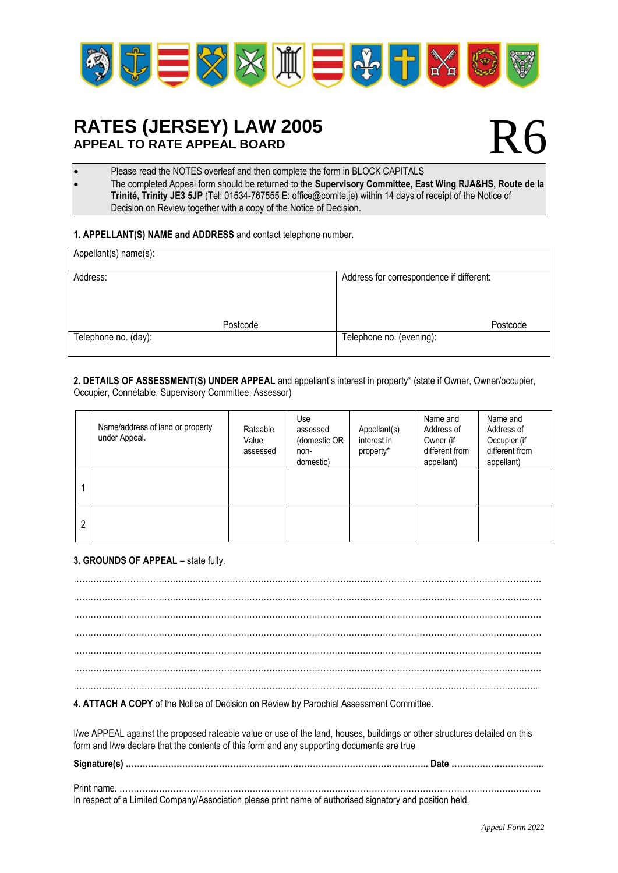

## **RATES (JERSEY) LAW 2005 APPEAL TO RATE APPEAL BOARD**

# R6

Please read the NOTES overleaf and then complete the form in BLOCK CAPITALS

• The completed Appeal form should be returned to the **Supervisory Committee, East Wing RJA&HS, Route de la Trinité, Trinity JE3 5JP** (Tel: 01534-767555 E: office@comite.je) within 14 days of receipt of the Notice of Decision on Review together with a copy of the Notice of Decision.

#### **1. APPELLANT(S) NAME and ADDRESS** and contact telephone number.

| Appellant(s) name(s): |          |                                          |  |  |  |
|-----------------------|----------|------------------------------------------|--|--|--|
| Address:              |          | Address for correspondence if different: |  |  |  |
|                       |          |                                          |  |  |  |
|                       | Postcode | Postcode                                 |  |  |  |
| Telephone no. (day):  |          | Telephone no. (evening):                 |  |  |  |

**2. DETAILS OF ASSESSMENT(S) UNDER APPEAL** and appellant's interest in property\* (state if Owner, Owner/occupier, Occupier, Connétable, Supervisory Committee, Assessor)

|   | Name/address of land or property<br>under Appeal. | Rateable<br>Value<br>assessed | Use<br>assessed<br>(domestic OR<br>non-<br>domestic) | Appellant(s)<br>interest in<br>property* | Name and<br>Address of<br>Owner (if<br>different from<br>appellant) | Name and<br>Address of<br>Occupier (if<br>different from<br>appellant) |
|---|---------------------------------------------------|-------------------------------|------------------------------------------------------|------------------------------------------|---------------------------------------------------------------------|------------------------------------------------------------------------|
|   |                                                   |                               |                                                      |                                          |                                                                     |                                                                        |
| 2 |                                                   |                               |                                                      |                                          |                                                                     |                                                                        |

#### **3. GROUNDS OF APPEAL** – state fully.

………………………………………………………………………………………………………………………………………………… ………………………………………………………………………………………………………………………………………………… ………………………………………………………………………………………………………………………………………………… ………………………………………………………………………………………………………………………………………………… ………………………………………………………………………………………………………………………………………………… ………………………………………………………………………………………………………………………………………………… ………………………………………………………………………………………………………………………………………………..

**4. ATTACH A COPY** of the Notice of Decision on Review by Parochial Assessment Committee.

I/we APPEAL against the proposed rateable value or use of the land, houses, buildings or other structures detailed on this form and I/we declare that the contents of this form and any supporting documents are true

| In respect of a Limited Company/Association please print name of authorised signatory and position held. |  |
|----------------------------------------------------------------------------------------------------------|--|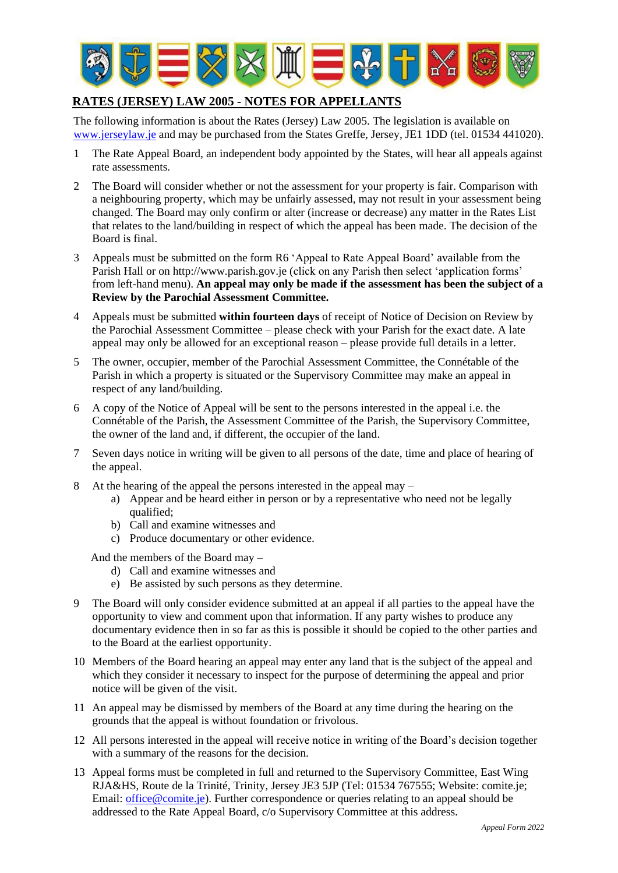

### **RATES (JERSEY) LAW 2005 - NOTES FOR APPELLANTS**

The following information is about the Rates (Jersey) Law 2005. The legislation is available on [www.jerseylaw.je](http://www.jerseylaw.je/) and may be purchased from the States Greffe, Jersey, JE1 1DD (tel. 01534 441020).

- 1 The Rate Appeal Board, an independent body appointed by the States, will hear all appeals against rate assessments.
- 2 The Board will consider whether or not the assessment for your property is fair. Comparison with a neighbouring property, which may be unfairly assessed, may not result in your assessment being changed. The Board may only confirm or alter (increase or decrease) any matter in the Rates List that relates to the land/building in respect of which the appeal has been made. The decision of the Board is final.
- 3 Appeals must be submitted on the form R6 'Appeal to Rate Appeal Board' available from the Parish Hall or on http://www.parish.gov.je (click on any Parish then select 'application forms' from left-hand menu). **An appeal may only be made if the assessment has been the subject of a Review by the Parochial Assessment Committee.**
- 4 Appeals must be submitted **within fourteen days** of receipt of Notice of Decision on Review by the Parochial Assessment Committee – please check with your Parish for the exact date. A late appeal may only be allowed for an exceptional reason – please provide full details in a letter.
- 5 The owner, occupier, member of the Parochial Assessment Committee, the Connétable of the Parish in which a property is situated or the Supervisory Committee may make an appeal in respect of any land/building.
- 6 A copy of the Notice of Appeal will be sent to the persons interested in the appeal i.e. the Connétable of the Parish, the Assessment Committee of the Parish, the Supervisory Committee, the owner of the land and, if different, the occupier of the land.
- 7 Seven days notice in writing will be given to all persons of the date, time and place of hearing of the appeal.
- 8 At the hearing of the appeal the persons interested in the appeal may
	- a) Appear and be heard either in person or by a representative who need not be legally qualified;
	- b) Call and examine witnesses and
	- c) Produce documentary or other evidence.

And the members of the Board may –

- d) Call and examine witnesses and
- e) Be assisted by such persons as they determine.
- 9 The Board will only consider evidence submitted at an appeal if all parties to the appeal have the opportunity to view and comment upon that information. If any party wishes to produce any documentary evidence then in so far as this is possible it should be copied to the other parties and to the Board at the earliest opportunity.
- 10 Members of the Board hearing an appeal may enter any land that is the subject of the appeal and which they consider it necessary to inspect for the purpose of determining the appeal and prior notice will be given of the visit.
- 11 An appeal may be dismissed by members of the Board at any time during the hearing on the grounds that the appeal is without foundation or frivolous.
- 12 All persons interested in the appeal will receive notice in writing of the Board's decision together with a summary of the reasons for the decision.
- 13 Appeal forms must be completed in full and returned to the Supervisory Committee, East Wing RJA&HS, Route de la Trinité, Trinity, Jersey JE3 5JP (Tel: 01534 767555; Website: comite.je; Email: [office@comite.je\)](mailto:office@comite.je). Further correspondence or queries relating to an appeal should be addressed to the Rate Appeal Board, c/o Supervisory Committee at this address.